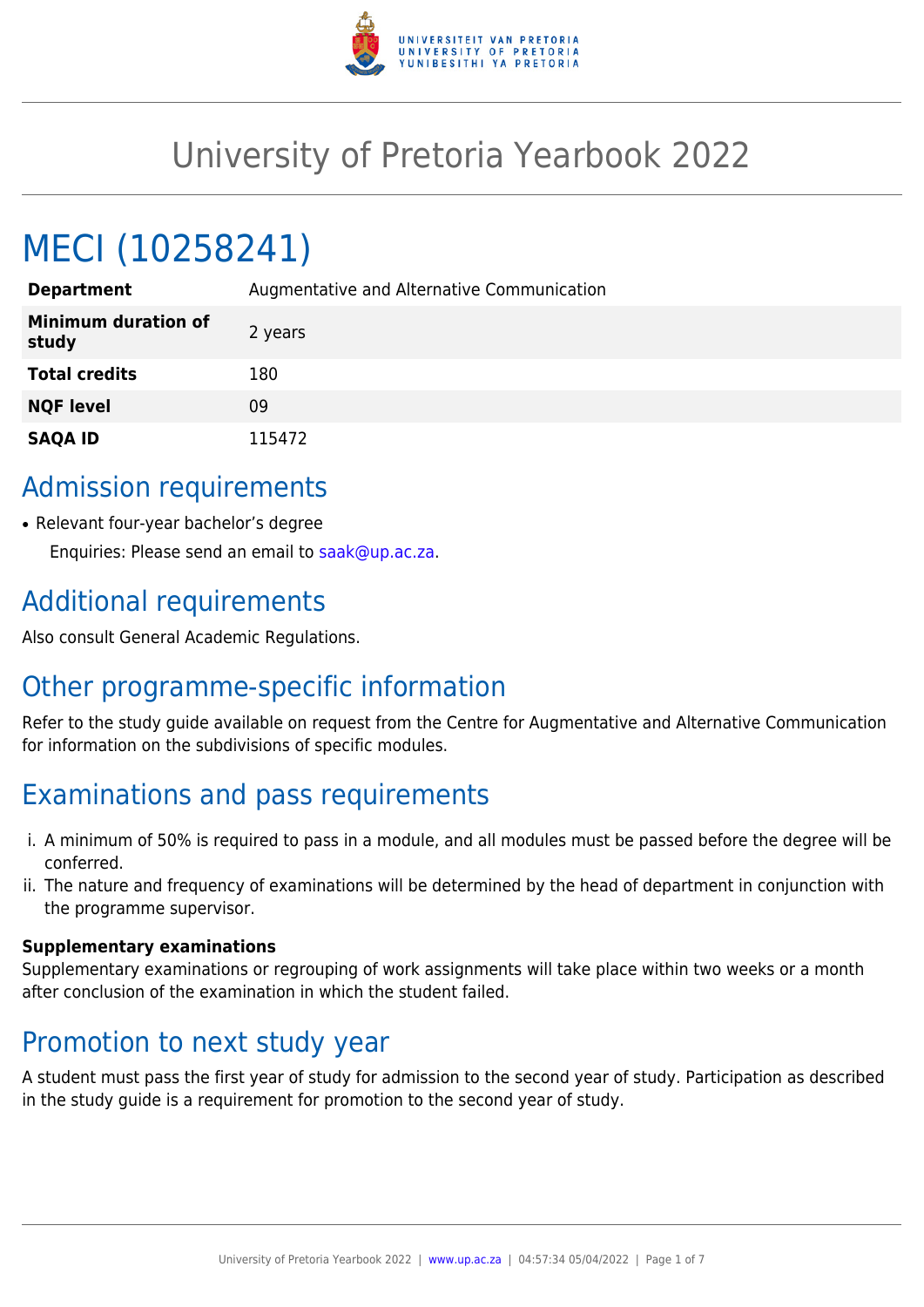

# University of Pretoria Yearbook 2022

# MECI (10258241)

| <b>Department</b>                   | Augmentative and Alternative Communication |
|-------------------------------------|--------------------------------------------|
| <b>Minimum duration of</b><br>study | 2 years                                    |
| <b>Total credits</b>                | 180                                        |
| <b>NQF level</b>                    | 09                                         |
| <b>SAQA ID</b>                      | 115472                                     |

## Admission requirements

• Relevant four-year bachelor's degree Enquiries: Please send an email to [saak@up.ac.za](mailto:saak@up.ac.za).

## Additional requirements

Also consult General Academic Regulations.

# Other programme-specific information

Refer to the study guide available on request from the Centre for Augmentative and Alternative Communication for information on the subdivisions of specific modules.

# Examinations and pass requirements

- i. A minimum of 50% is required to pass in a module, and all modules must be passed before the degree will be conferred.
- ii. The nature and frequency of examinations will be determined by the head of department in conjunction with the programme supervisor.

#### **Supplementary examinations**

Supplementary examinations or regrouping of work assignments will take place within two weeks or a month after conclusion of the examination in which the student failed.

### Promotion to next study year

A student must pass the first year of study for admission to the second year of study. Participation as described in the study guide is a requirement for promotion to the second year of study.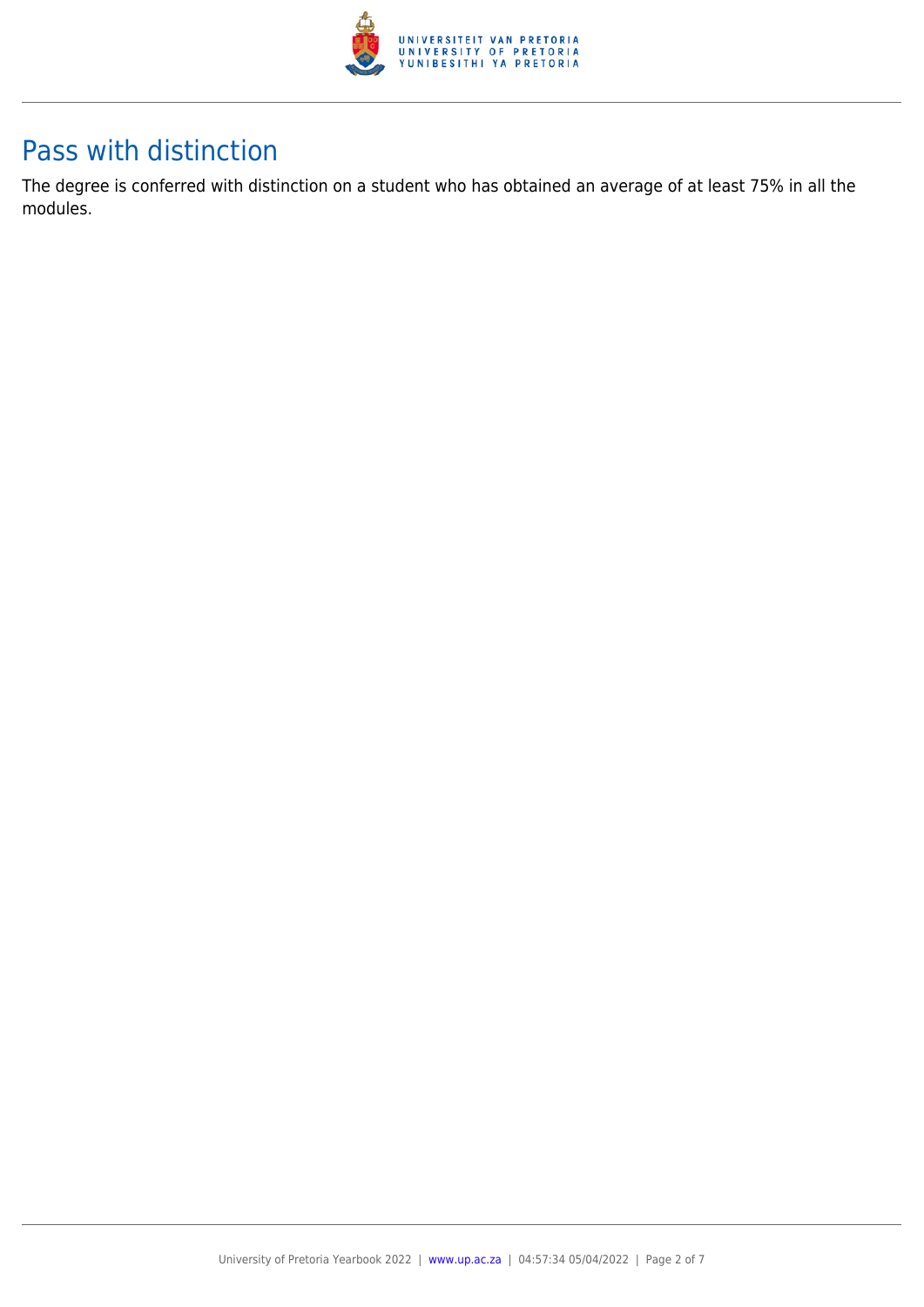

## Pass with distinction

The degree is conferred with distinction on a student who has obtained an average of at least 75% in all the modules.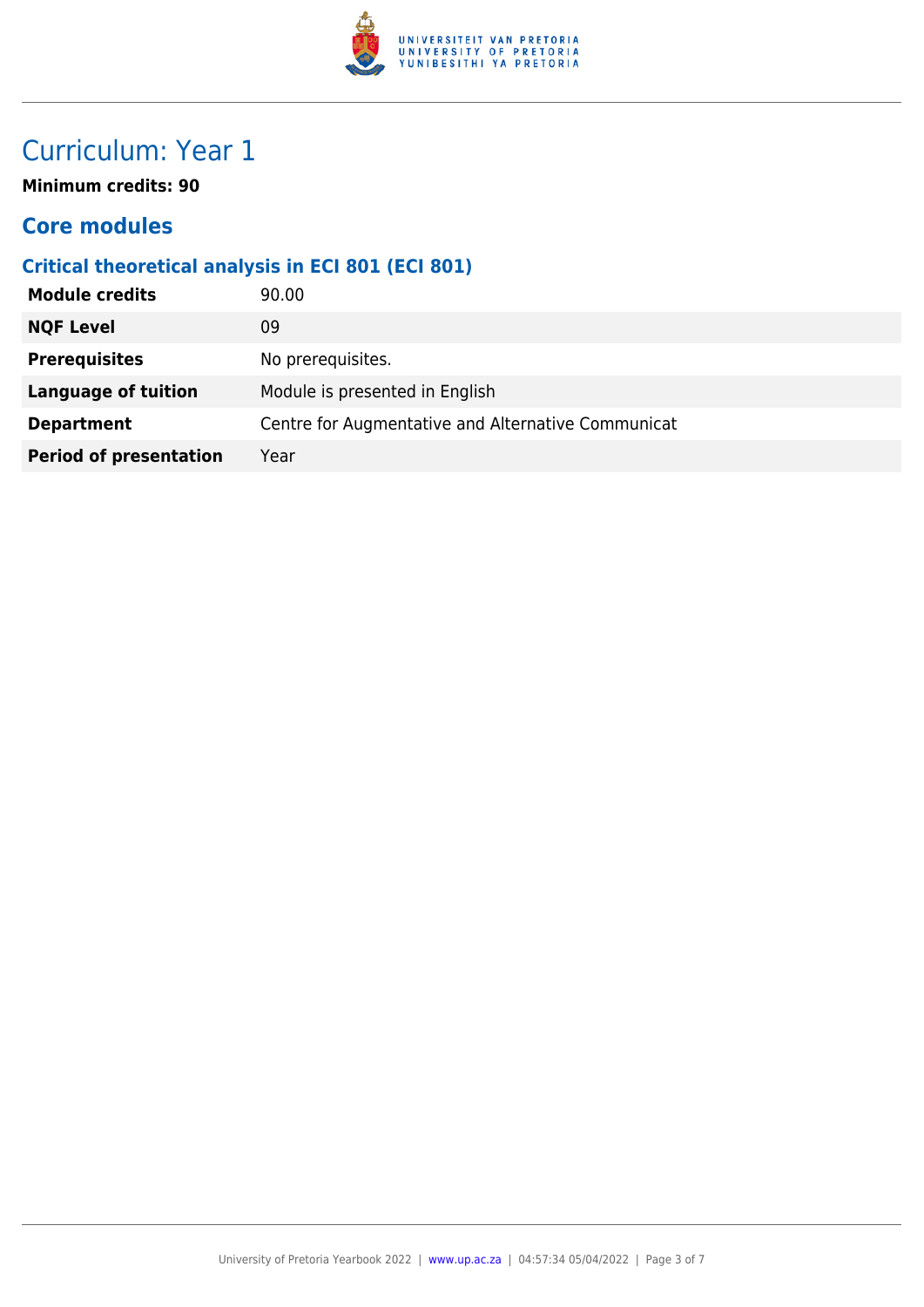

# Curriculum: Year 1

**Minimum credits: 90**

### **Core modules**

### **Critical theoretical analysis in ECI 801 (ECI 801)**

| <b>NQF Level</b><br>09                                                  |  |
|-------------------------------------------------------------------------|--|
| <b>Prerequisites</b><br>No prerequisites.                               |  |
| Module is presented in English<br><b>Language of tuition</b>            |  |
| Centre for Augmentative and Alternative Communicat<br><b>Department</b> |  |
| <b>Period of presentation</b><br>Year                                   |  |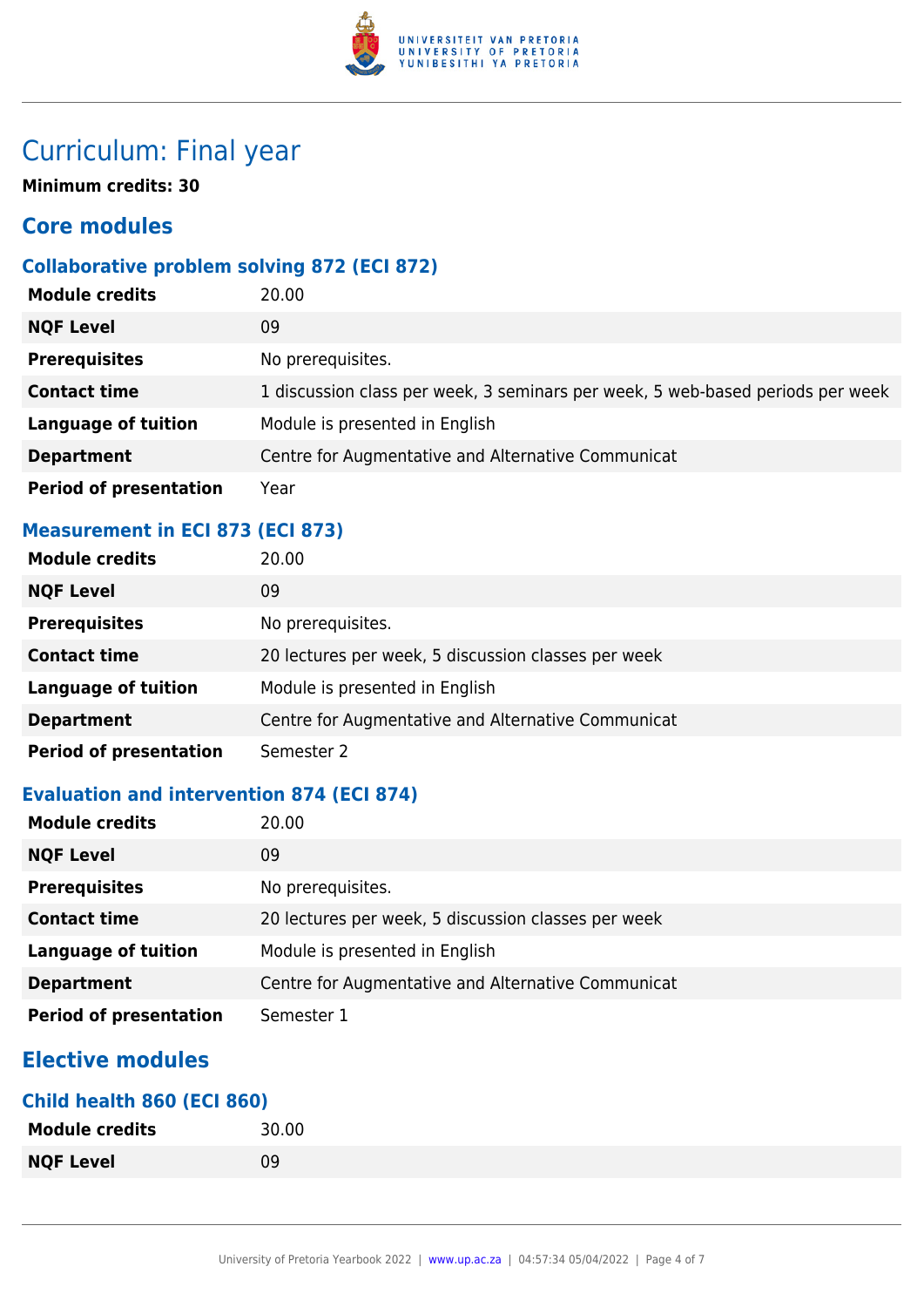

# Curriculum: Final year

**Minimum credits: 30**

### **Core modules**

#### **Collaborative problem solving 872 (ECI 872)**

| <b>Module credits</b>         | 20.00                                                                          |
|-------------------------------|--------------------------------------------------------------------------------|
| <b>NQF Level</b>              | 09                                                                             |
| <b>Prerequisites</b>          | No prerequisites.                                                              |
| <b>Contact time</b>           | 1 discussion class per week, 3 seminars per week, 5 web-based periods per week |
| <b>Language of tuition</b>    | Module is presented in English                                                 |
| <b>Department</b>             | Centre for Augmentative and Alternative Communicat                             |
| <b>Period of presentation</b> | Year                                                                           |

#### **Measurement in ECI 873 (ECI 873)**

| <b>Module credits</b>         | 20.00                                               |
|-------------------------------|-----------------------------------------------------|
| <b>NQF Level</b>              | 09                                                  |
| <b>Prerequisites</b>          | No prerequisites.                                   |
| <b>Contact time</b>           | 20 lectures per week, 5 discussion classes per week |
| <b>Language of tuition</b>    | Module is presented in English                      |
| <b>Department</b>             | Centre for Augmentative and Alternative Communicat  |
| <b>Period of presentation</b> | Semester 2                                          |

#### **Evaluation and intervention 874 (ECI 874)**

| <b>Module credits</b>         | 20.00                                               |
|-------------------------------|-----------------------------------------------------|
| <b>NQF Level</b>              | 09                                                  |
| <b>Prerequisites</b>          | No prerequisites.                                   |
| <b>Contact time</b>           | 20 lectures per week, 5 discussion classes per week |
| <b>Language of tuition</b>    | Module is presented in English                      |
| <b>Department</b>             | Centre for Augmentative and Alternative Communicat  |
| <b>Period of presentation</b> | Semester 1                                          |

### **Elective modules**

#### **Child health 860 (ECI 860)**

| <b>Module credits</b> | 30.00 |
|-----------------------|-------|
| <b>NQF Level</b>      | 09    |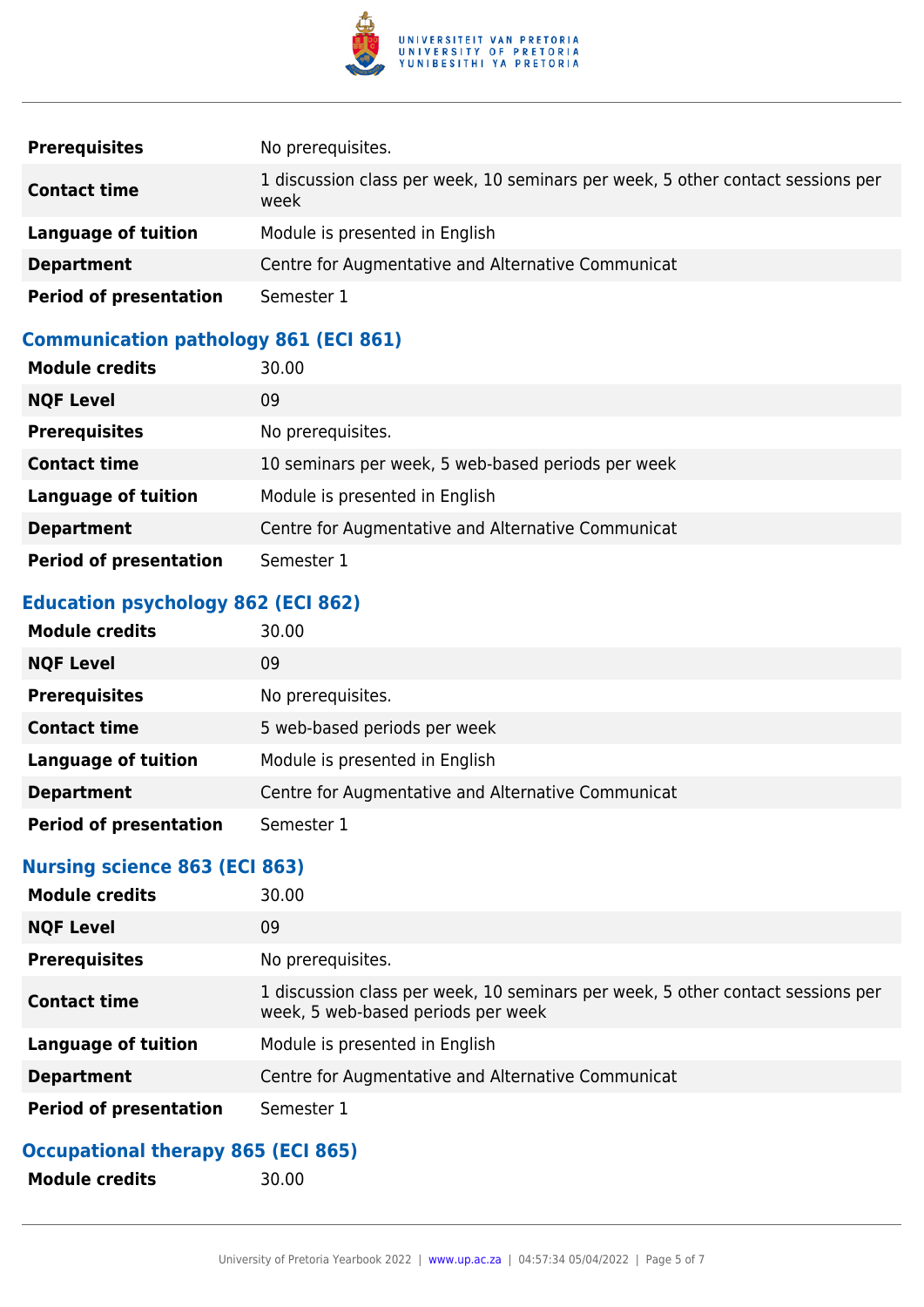

| <b>Prerequisites</b>          | No prerequisites.                                                                       |
|-------------------------------|-----------------------------------------------------------------------------------------|
| <b>Contact time</b>           | 1 discussion class per week, 10 seminars per week, 5 other contact sessions per<br>week |
| Language of tuition           | Module is presented in English                                                          |
| <b>Department</b>             | Centre for Augmentative and Alternative Communicat                                      |
| <b>Period of presentation</b> | Semester 1                                                                              |

### **Communication pathology 861 (ECI 861)**

| <b>Module credits</b>         | 30.00                                              |
|-------------------------------|----------------------------------------------------|
| <b>NQF Level</b>              | 09                                                 |
| <b>Prerequisites</b>          | No prerequisites.                                  |
| <b>Contact time</b>           | 10 seminars per week, 5 web-based periods per week |
| <b>Language of tuition</b>    | Module is presented in English                     |
| <b>Department</b>             | Centre for Augmentative and Alternative Communicat |
| <b>Period of presentation</b> | Semester 1                                         |

### **Education psychology 862 (ECI 862)**

| <b>Module credits</b>         | 30.00                                              |
|-------------------------------|----------------------------------------------------|
| <b>NQF Level</b>              | 09                                                 |
| <b>Prerequisites</b>          | No prerequisites.                                  |
| <b>Contact time</b>           | 5 web-based periods per week                       |
| <b>Language of tuition</b>    | Module is presented in English                     |
| <b>Department</b>             | Centre for Augmentative and Alternative Communicat |
| <b>Period of presentation</b> | Semester 1                                         |

### **Nursing science 863 (ECI 863)**

| <b>Module credits</b>         | 30.00                                                                                                                 |
|-------------------------------|-----------------------------------------------------------------------------------------------------------------------|
| <b>NQF Level</b>              | 09                                                                                                                    |
| <b>Prerequisites</b>          | No prerequisites.                                                                                                     |
| <b>Contact time</b>           | 1 discussion class per week, 10 seminars per week, 5 other contact sessions per<br>week, 5 web-based periods per week |
| Language of tuition           | Module is presented in English                                                                                        |
| <b>Department</b>             | Centre for Augmentative and Alternative Communicat                                                                    |
| <b>Period of presentation</b> | Semester 1                                                                                                            |

### **Occupational therapy 865 (ECI 865)**

**Module credits** 30.00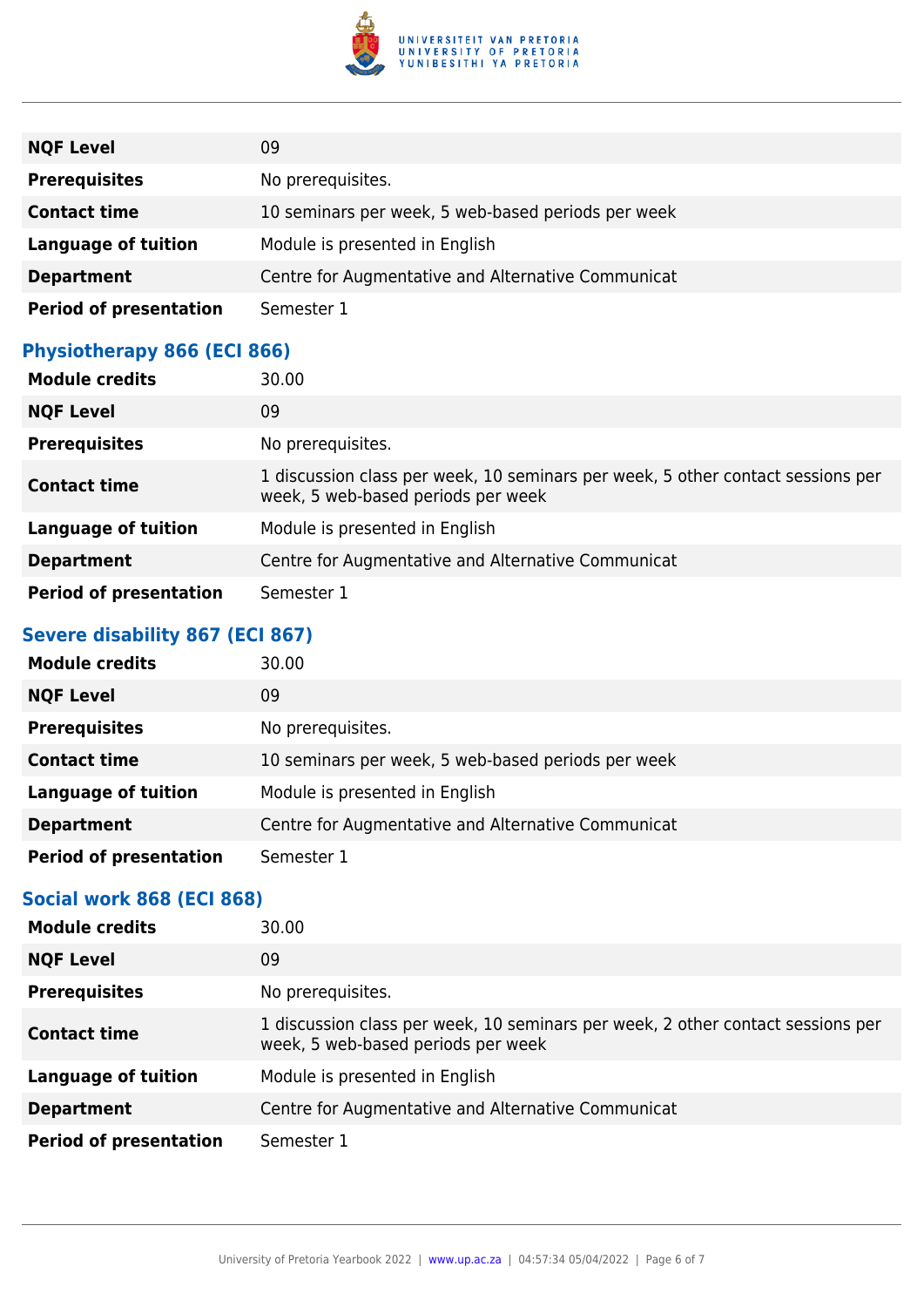

| <b>NQF Level</b>              | 09                                                 |
|-------------------------------|----------------------------------------------------|
| <b>Prerequisites</b>          | No prerequisites.                                  |
| <b>Contact time</b>           | 10 seminars per week, 5 web-based periods per week |
| <b>Language of tuition</b>    | Module is presented in English                     |
| <b>Department</b>             | Centre for Augmentative and Alternative Communicat |
| <b>Period of presentation</b> | Semester 1                                         |

### **Physiotherapy 866 (ECI 866)**

| <b>Module credits</b>         | 30.00                                                                                                                 |
|-------------------------------|-----------------------------------------------------------------------------------------------------------------------|
| <b>NQF Level</b>              | 09                                                                                                                    |
| <b>Prerequisites</b>          | No prerequisites.                                                                                                     |
| <b>Contact time</b>           | 1 discussion class per week, 10 seminars per week, 5 other contact sessions per<br>week, 5 web-based periods per week |
| <b>Language of tuition</b>    | Module is presented in English                                                                                        |
| <b>Department</b>             | Centre for Augmentative and Alternative Communicat                                                                    |
| <b>Period of presentation</b> | Semester 1                                                                                                            |

#### **Severe disability 867 (ECI 867)**

| <b>Module credits</b>         | 30.00                                              |
|-------------------------------|----------------------------------------------------|
| <b>NQF Level</b>              | 09                                                 |
| <b>Prerequisites</b>          | No prerequisites.                                  |
| <b>Contact time</b>           | 10 seminars per week, 5 web-based periods per week |
| <b>Language of tuition</b>    | Module is presented in English                     |
| <b>Department</b>             | Centre for Augmentative and Alternative Communicat |
| <b>Period of presentation</b> | Semester 1                                         |

#### **Social work 868 (ECI 868)**

| <b>Module credits</b>         | 30.00                                                                                                                 |
|-------------------------------|-----------------------------------------------------------------------------------------------------------------------|
| <b>NQF Level</b>              | 09                                                                                                                    |
| <b>Prerequisites</b>          | No prerequisites.                                                                                                     |
| <b>Contact time</b>           | 1 discussion class per week, 10 seminars per week, 2 other contact sessions per<br>week, 5 web-based periods per week |
| <b>Language of tuition</b>    | Module is presented in English                                                                                        |
| <b>Department</b>             | Centre for Augmentative and Alternative Communicat                                                                    |
| <b>Period of presentation</b> | Semester 1                                                                                                            |